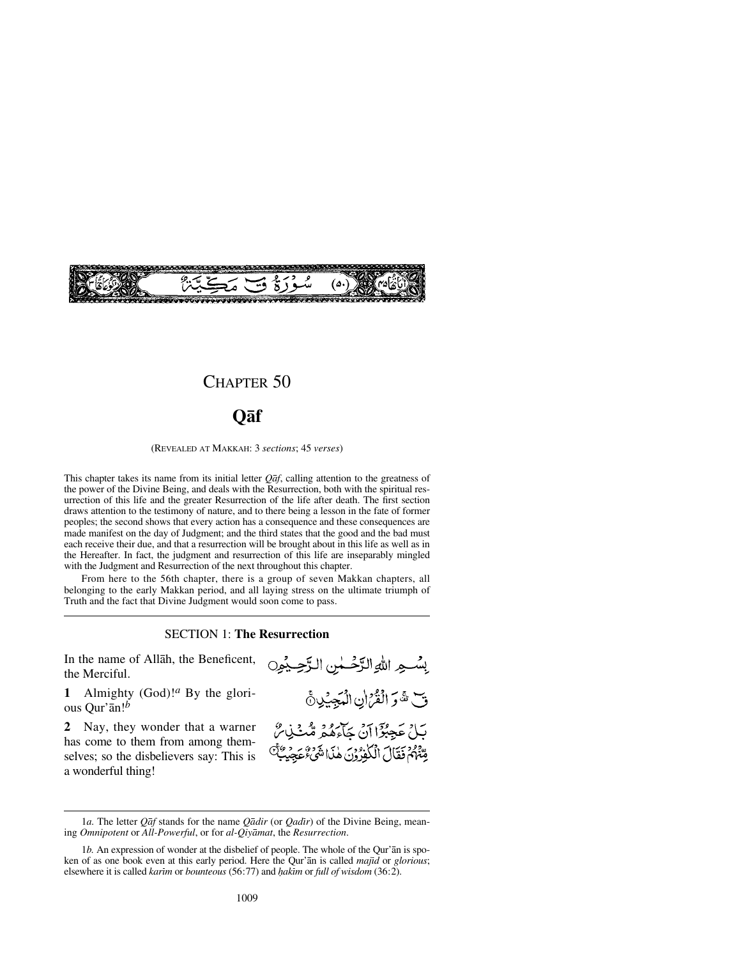

## CHAPTER 50

## **Qåf**

(REVEALED AT MAKKAH: 3 *sections*; 45 *verses*)

This chapter takes its name from its initial letter *Qåf*, calling attention to the greatness of the power of the Divine Being, and deals with the Resurrection, both with the spiritual resurrection of this life and the greater Resurrection of the life after death. The first section draws attention to the testimony of nature, and to there being a lesson in the fate of former peoples; the second shows that every action has a consequence and these consequences are made manifest on the day of Judgment; and the third states that the good and the bad must each receive their due, and that a resurrection will be brought about in this life as well as in the Hereafter. In fact, the judgment and resurrection of this life are inseparably mingled with the Judgment and Resurrection of the next throughout this chapter.

From here to the 56th chapter, there is a group of seven Makkan chapters, all belonging to the early Makkan period, and all laying stress on the ultimate triumph of Truth and the fact that Divine Judgment would soon come to pass.

SECTION 1: **The Resurrection**

In the name of Allåh, the Beneficent, the Merciful.

**1** Almighty (God)!*<sup>a</sup>* By the glorious Qur'ån!*<sup>b</sup>*

**2** Nay, they wonder that a warner has come to them from among themselves; so the disbelievers say: This is a wonderful thing!

لِسُو اللهِ الرَّحْسٰ الرَّحِيْوِن قَ هَ وَ الْقُرْانِ الْمَجِيْدِنَّ بَيْلُ عَجِبُوْٓا آنُ جَاءِهُمْ مُّبْنَىٰنِ ۖ رِّقْتُهُمْ فَقَالَ الْكَفِرُوْنَ هٰذَا شَيْءٌ عَجِيبٌ لَلَّ

<sup>1</sup>*a*. The letter *Qaf* stands for the name *Qadir* (or *Qadir*) of the Divine Being, meaning *Omnipotent* or *All-Powerful*, or for *al-Qiyåmat*, the *Resurrection*.

<sup>1</sup>*b.* An expression of wonder at the disbelief of people. The whole of the Qur'ån is spoken of as one book even at this early period. Here the Qur'an is called *majid* or *glorious*; elsewhere it is called *karim* or *bounteous* (56:77) and *hakim* or *full of wisdom* (36:2).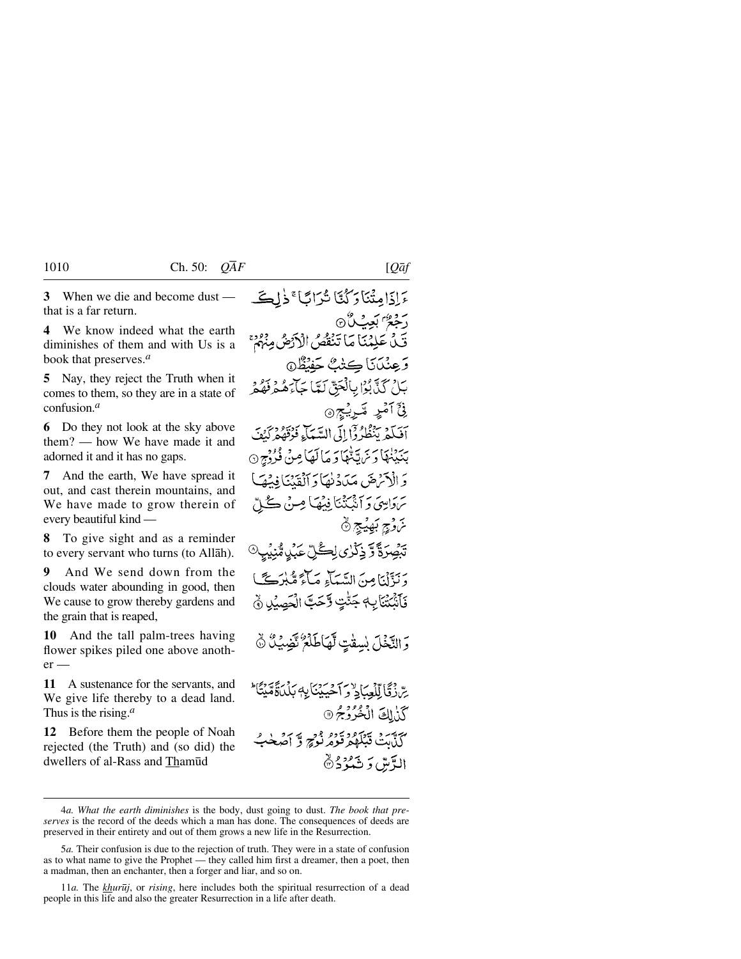**3** When we die and become dust that is a far return.

**4** We know indeed what the earth diminishes of them and with Us is a book that preserves.*<sup>a</sup>*

**5** Nay, they reject the Truth when it comes to them, so they are in a state of confusion.*<sup>a</sup>*

**6** Do they not look at the sky above them? — how We have made it and adorned it and it has no gaps.

**7** And the earth, We have spread it out, and cast therein mountains, and We have made to grow therein of every beautiful kind —

**8** To give sight and as a reminder to every servant who turns (to Allåh).

**9** And We send down from the clouds water abounding in good, then We cause to grow thereby gardens and the grain that is reaped,

**10** And the tall palm-trees having flower spikes piled one above another —

**11** A sustenance for the servants, and We give life thereby to a dead land. Thus is the rising.*<sup>a</sup>*

**12** Before them the people of Noah rejected (the Truth) and (so did) the dwellers of al-Rass and Thamūd

عَ إِذَا مِثْنَا رَكُنَّا شُرَابًا ۚ ذَٰلِكَ رَجَعٌ بَعِيْ لَأِنَّ قَيْلُ عَلِيْمَنَا مَا تَنْقَصُ الْأَدْضُ مِبْهُمْ وَعِنْدَانَا كِتْتْ جَفَنْظُ@ بَلْ كَذَّبُوْا بِالْحَقَّ لَمَّا جَآءَهُ هُ وَقَوْمٍ ۈ<sup>ج</sup> آمْدٍ تَىرِيْجِ ۞ آفيكِي تِنْظُرُ دٓا إِلَى السَّبِيَاءِ فَوُقَقَهُمْ كَنْفَ بِيَبْنِنَهَا دَيْنَ تَنْهَا دَ مَا لَعَا مِنْ فُرُدْجِ ۞ وَ الْآَيْرِهَرَ، مَيْݣُونُهَا دَ ٱلْقَدْيَا فِيهِمْهَا سَوَاسِيَ وَ آنَّبِنَّنَا فِيهِمَا مِنْ ݣُلِّ تَرَوْجٍ بَهِيَّجٍ ۞ *ؾڝؚٛ*ڗۘڐۧڒٙۏػ۬ڒؽڶۣڴڸۨٚٸؘٛؠۣڛ۠ٞؽؙۑۣ بِهَ بِبَيْنِي مِنَ السَّبِيَاءِ صَاءَ مَّلَّذِكَبَا فَأَنْتَتَنَابِ جَنَّتِ وَّحَتَّ الْحَصِيْلِ ﴾ وَالنَّخْلَ بْسِقْتٍ لَّهَاطَلْعٌ تَضِيَّكُ ۞ سِّ زِقَا لِّلْعِبَادِ وَ أَحْيِيْنَا بِهِ بَدْرِجَةَ مَيْتَأَ \* كَذٰلِكَ الْخُرُوْجُ @

آتي تشكيد قود وجو ۽ آصُلي گ الدَّسَّ دَ تَمُرُدُ®

<sup>4</sup>*a. What the earth diminishes* is the body, dust going to dust. *The book that preserves* is the record of the deeds which a man has done. The consequences of deeds are preserved in their entirety and out of them grows a new life in the Resurrection.

<sup>5</sup>*a.* Their confusion is due to the rejection of truth. They were in a state of confusion as to what name to give the Prophet — they called him first a dreamer, then a poet, then a madman, then an enchanter, then a forger and liar, and so on.

<sup>11</sup>*a.* The *khur∂j*, or *rising*, here includes both the spiritual resurrection of a dead people in this life and also the greater Resurrection in a life after death.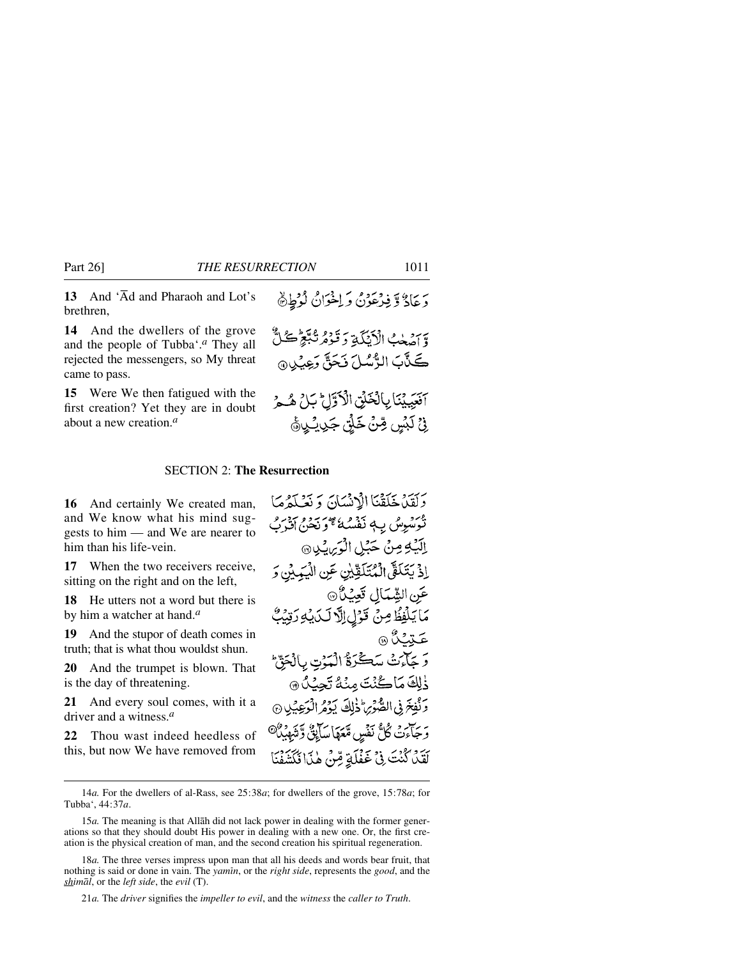13 And 'Ad and Pharaoh and Lot's brethren,

**14** And the dwellers of the grove and the people of Tubba'.*<sup>a</sup>* They all rejected the messengers, so My threat came to pass.

**15** Were We then fatigued with the first creation? Yet they are in doubt about a new creation.*<sup>a</sup>*

## SECTION 2: **The Resurrection**

**16** And certainly We created man, and We know what his mind suggests to him — and We are nearer to him than his life-vein.

**17** When the two receivers receive, sitting on the right and on the left,

**18** He utters not a word but there is by him a watcher at hand.*<sup>a</sup>*

**19** And the stupor of death comes in truth; that is what thou wouldst shun.

**20** And the trumpet is blown. That is the day of threatening.

**21** And every soul comes, with it a driver and a witness.*<sup>a</sup>*

**22** Thou wast indeed heedless of this, but now We have removed from

وَلَقِينَ خَلَقْنَا الْإِنْسَانَ وَ نَصْلَهُمَا تَرَسُّوِسُ بِ4 نَفْسُهُ عَمْرَتِهُ مِنْ رَبِّيْهِمْ إِنَّا لَهُمْ بِ الَّذِي مِنْ حَبْلِ الْوَيِّامِينِ اِذْ يَتَلَقَّى الْمُتَلَّوِّيْنِ عَنِ الْيَهِيْنِ وَ عَنِ الشَّمَالِ تَعِيْنُ @ مَا يَلْفِظُ مِنْ قَوْلِ اِلَّا لَكَ يُوَ رَقِيْبٌ عَتِمْنَ ۞ وَ جَلَّمَتْ سَكَّرَةُ الْمَوْتِ بِالْحَقِّ ذٰلِكَ مَاكُنْتَ مِنْهُ تَجِيْدُ 9 وَنُفِخَ فِى الصُّوَىِ ذَٰلِكَ يَوْمُ الْوَعِيَٰلِ ۞ وَجَآءَتْ كُلُّ نَفْسٍ مَّعَهَا سَأَبِقٌّ وَتَيْهِيْلُ<sup>6</sup> لَقَدْ كُنْتَ فِي خَفْلَةٍ قِنْ هٰذَا فَكَشَفْنَا

دَ عَادٌ وَ فِيْهِ عَوْنٌ وَ اِخْوَانٌ لَوْطِيُّ

وِّ اصْلَحْبُ الْأَيِّنَكَةِ وَقَوْمُ نُبَّعَ كُلُّ كَذَّبَ الرُّسُلَ نَحَقَّ وَعِيْلِ،

آفَعِيَيْنَا بِالْخَلْقِ الْأَوَّلِّ بَلْ هُــوُ

فِيۡ لَبۡسٍ مِّنۡ خَلۡن جَرِيۡكِيۡ۞

21*a.* The *driver* signifies the *impeller to evil*, and the *witness* the *caller to Truth*.

<sup>14</sup>*a.* For the dwellers of al-Rass, see 25:38*a*; for dwellers of the grove, 15:78*a*; for Tubba', 44:37*a*.

<sup>15</sup>*a.* The meaning is that Allåh did not lack power in dealing with the former generations so that they should doubt His power in dealing with a new one. Or, the first creation is the physical creation of man, and the second creation his spiritual regeneration.

<sup>18</sup>*a.* The three verses impress upon man that all his deeds and words bear fruit, that nothing is said or done in vain. The *yamßn*, or the *right side*, represents the *good*, and the *shimål*, or the *left side*, the *evil* (T).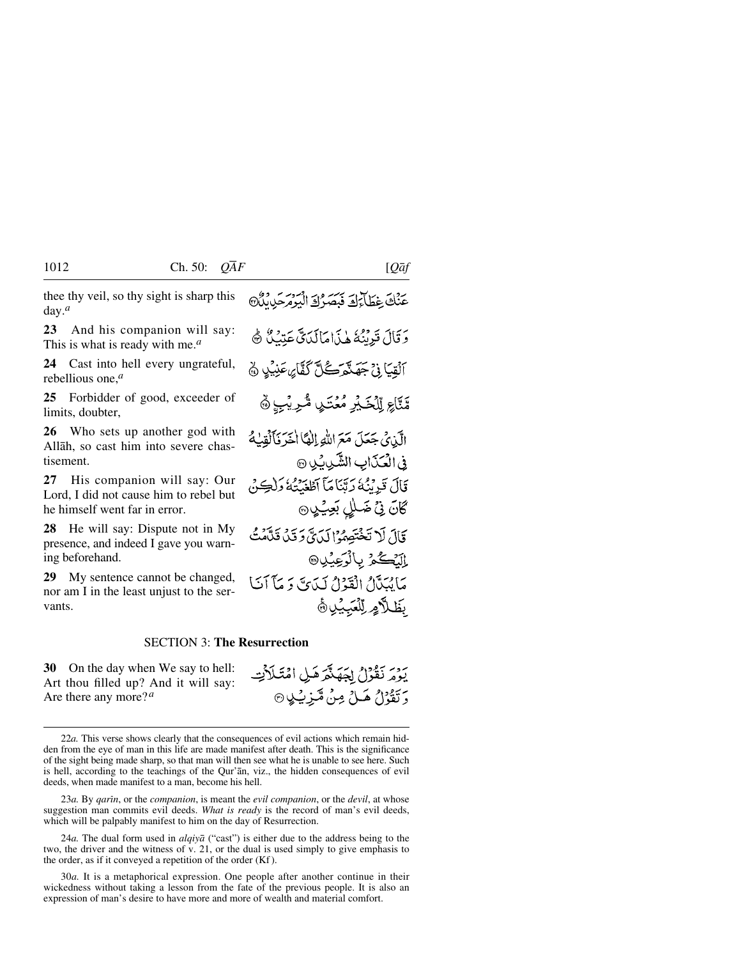thee thy veil, so thy sight is sharp this day.*<sup>a</sup>*

**23** And his companion will say: This is what is ready with me.*<sup>a</sup>*

**24** Cast into hell every ungrateful, rebellious one,*<sup>a</sup>*

**25** Forbidder of good, exceeder of limits, doubter,

**26** Who sets up another god with Allåh, so cast him into severe chastisement.

**27** His companion will say: Our Lord, I did not cause him to rebel but he himself went far in error.

**28** He will say: Dispute not in My presence, and indeed I gave you warning beforehand.

**29** My sentence cannot be changed, nor am I in the least unjust to the servants.

SECTION 3: **The Resurrection**

**30** On the day when We say to hell: Art thou filled up? And it will say: Are there any more?*<sup>a</sup>*

22*a.* This verse shows clearly that the consequences of evil actions which remain hidden from the eye of man in this life are made manifest after death. This is the significance of the sight being made sharp, so that man will then see what he is unable to see here. Such is hell, according to the teachings of the Qur'ån, viz., the hidden consequences of evil deeds, when made manifest to a man, become his hell.

23*a*. By *qarin*, or the *companion*, is meant the *evil companion*, or the *devil*, at whose suggestion man commits evil deeds. *What is ready* is the record of man's evil deeds, which will be palpably manifest to him on the day of Resurrection.

24*a.* The dual form used in *alqiyå* ("cast") is either due to the address being to the two, the driver and the witness of v. 21, or the dual is used simply to give emphasis to the order, as if it conveyed a repetition of the order (Kf ).

30*a.* It is a metaphorical expression. One people after another continue in their wickedness without taking a lesson from the fate of the previous people. It is also an expression of man's desire to have more and more of wealth and material comfort.

عَنْكَ غِطَاءَكَ فَيَصَرُكَ الْبَوْمَ حَدِيثَ دَ قَالَ قَدِنْتُهُ هٰذَا مَالَدَيِّ عَتْبُ ﴾ ٱلۡقِيَاۚ فِيۡ جَهَنَّمَرَكُلَّ كَفَّاۤ*يٍ عَ*نِيۡهِ ۞

مَّنَّاعِ لِلْخَبْرِ مُعۡنَـٰلٍ مُّرِيۡبٍ ﴾

الَّذِي جَعَلَ مَعَ اللَّهِ إِلٰهًا أَخَرَ فَأَلْقِبُهُ في الْعَذَابِ الشَّدِيبُ ِنِ ۞ قَالَ قَدِينُهُ رَتِّنَامَآ آَطَعَنَتُهُ وَلِٰٓكِنُّ كَانَ نِيۡ ضَلٰلٍ بَعِيۡـٰلٍ ۞ قَالَ لَا تَخْتَصِمُوْالِدَيَّ وَقَدْ قَدَّمْتُهُ إِلَيۡڪُمۡ بِالۡوَعِيۡلِ۞ مَا يُبَدَّلُ الْقَوْلُ لَيْدَيَّ دَ مَآ آيَا بَطَلاَهِ لِلْعَبِيْلِ ﴾

يَهُورُ نَقُوْلُ لِحَقَّنَّهُمْ هَيْ امْتَلَأَتِ

دَ تَقْوُلُ هَــلُ مِنْ مَّيزِيَـٰلِي @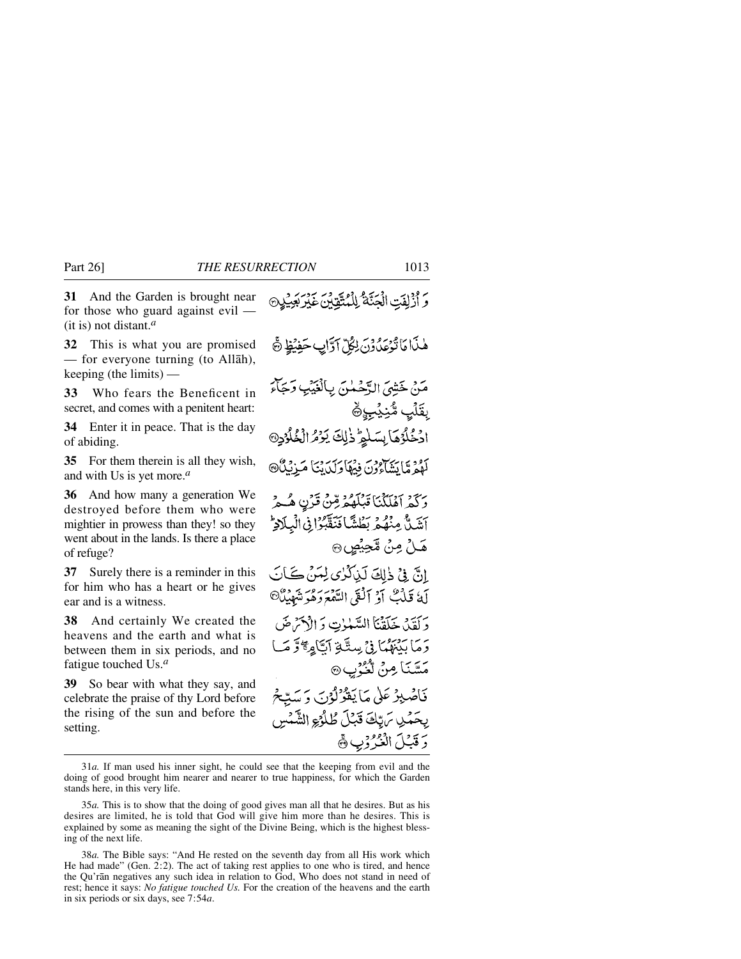**31** And the Garden is brought near for those who guard against evil — (it is) not distant.*<sup>a</sup>*

**32** This is what you are promised — for everyone turning (to Allåh), keeping (the limits) —

**33** Who fears the Beneficent in secret, and comes with a penitent heart:

**34** Enter it in peace. That is the day of abiding.

**35** For them therein is all they wish, and with Us is yet more.*<sup>a</sup>*

**36** And how many a generation We destroyed before them who were mightier in prowess than they! so they went about in the lands. Is there a place of refuge?

**37** Surely there is a reminder in this for him who has a heart or he gives ear and is a witness.

**38** And certainly We created the heavens and the earth and what is between them in six periods, and no fatigue touched Us.*<sup>a</sup>*

**39** So bear with what they say, and celebrate the praise of thy Lord before the rising of the sun and before the setting.

مَ أَزْلِفَتِ الْجَنَّةُ لِلْمُتَّقِّينَ غَيْرِ بَعِيرٍ هٰذَا مَا تُوْعَدُوْنَ لِكُلِّ آوَّابٍ حَفِيُظٍ ۞ مَنْ خَشِيَ الدَّحْمٰنِ بِالْغَيْبِ وَجَاءَ بقَلَبٍ مُّنِيَّبِ ﴾ ادْخُلُوُهَا بِسَلْمٍ ذٰلِكَ يَوْمُ الْخُلُوْدِ® لَهُمْ مَا يَشَاءُونَ فِيهَا وَلَدَيْنَا مَزِيْنَا هَ وَكَمْرَ أَهْلَكْنَا قَبْلَهُمْ مِّنْ قَرْنِ هُـُمْ أَشَلُّ مِنْهُمَ بَطْشًا فَنَقَّبُوْ فِى الْبِلَادِّ هَــُلُّ مِنْ مَّحِيْصٍ ۞ انَّ فِيْ ذٰلِكَ لَيْأَكَّرُى لِمَنْ كَانَ لَهُ قَبْكٌ أَوْ أَلْقَى السَّمَعَ وَهُوَ شَهْيِدٌ ۖ وَلَقَدْ خَلَقْنَا السَّلَمَانِ وَالْأَحْمَٰنَ رَ مَا بَيْنِهُمَا فِي سِتَّةِ أَبَّاهِ مِحْمَّ وَ مَا مَسَّنَا مِنْ آخُرُب@ فَاصْلِوْعَلَىٰ مَا يَقْوُلُوْنَ وَسَيِّحْ بحَمْدِ سَرِّكَ قَبْلَ طُلُوْءِ الشَّمْسِ رَقَبْلَ الْثَرُوْبِ ﴾

<sup>31</sup>*a.* If man used his inner sight, he could see that the keeping from evil and the doing of good brought him nearer and nearer to true happiness, for which the Garden stands here, in this very life.

<sup>35</sup>*a.* This is to show that the doing of good gives man all that he desires. But as his desires are limited, he is told that God will give him more than he desires. This is explained by some as meaning the sight of the Divine Being, which is the highest blessing of the next life.

<sup>38</sup>*a.* The Bible says: "And He rested on the seventh day from all His work which He had made" (Gen. 2:2). The act of taking rest applies to one who is tired, and hence the Qu'rån negatives any such idea in relation to God, Who does not stand in need of rest; hence it says: *No fatigue touched Us.* For the creation of the heavens and the earth in six periods or six days, see 7:54*a*.